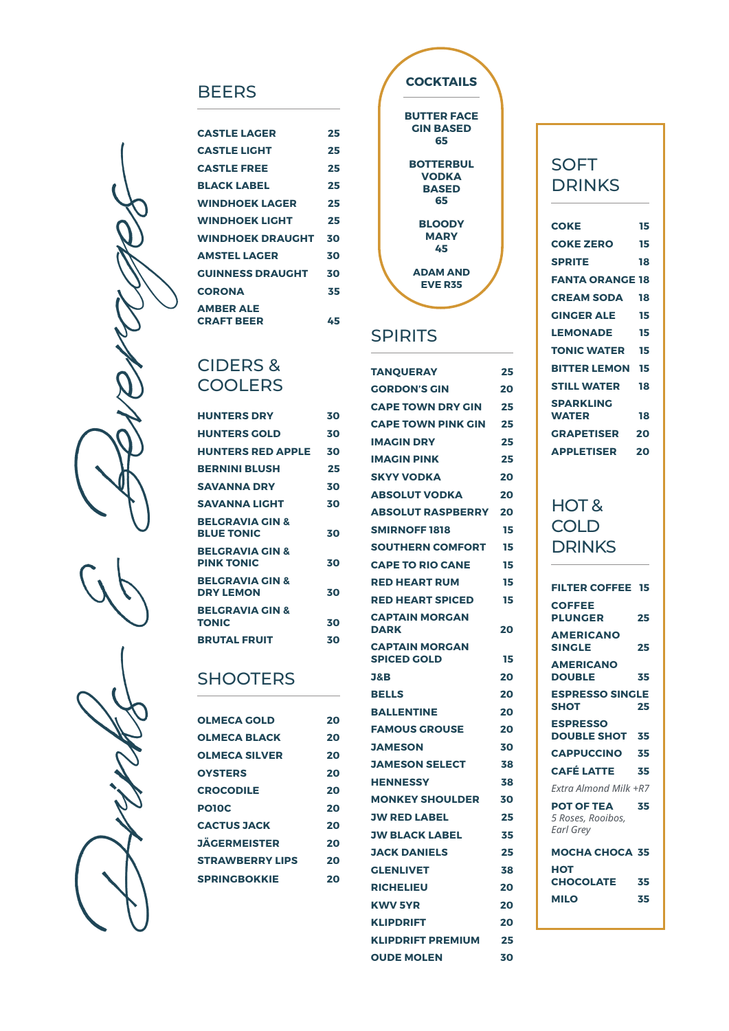#### **BEERS**

| <b>CASTLE LAGER</b>     | 25 |
|-------------------------|----|
| <b>CASTLE LIGHT</b>     | 25 |
| <b>CASTLE FREE</b>      | 25 |
| <b>BLACK LABEL</b>      | 25 |
| <b>WINDHOEK LAGER</b>   | 25 |
| <b>WINDHOEK LIGHT</b>   | 25 |
| <b>WINDHOEK DRAUGHT</b> | 30 |
| <b>AMSTEL LAGER</b>     | 30 |
| <b>GUINNESS DRAUGHT</b> | 30 |
| <b>CORONA</b>           | 35 |
| <b>AMBER ALE</b>        |    |
| <b>CRAFT BEER</b>       | 45 |

#### CIDERS & **COOLERS**

| <b>HUNTERS DRY</b>                              | 30 |
|-------------------------------------------------|----|
| <b>HUNTERS GOLD</b>                             | 30 |
| <b>HUNTERS RED APPLE</b>                        | 30 |
| <b>BERNINI BLUSH</b>                            | 25 |
| <b>SAVANNA DRY</b>                              | 30 |
| <b>SAVANNA LIGHT</b>                            | 30 |
| <b>BELGRAVIA GIN &amp;</b><br><b>BLUE TONIC</b> | 30 |
| <b>BELGRAVIA GIN &amp;</b><br><b>PINK TONIC</b> | 30 |
| <b>BELGRAVIA GIN &amp;</b><br><b>DRY LEMON</b>  | 30 |
| <b>BELGRAVIA GIN &amp;</b><br><b>TONIC</b>      | 30 |
| <b>BRUTAL FRUIT</b>                             | 30 |

#### **SHOOTERS**

| <b>OLMECA GOLD</b>     | 20 |
|------------------------|----|
| <b>OLMECA BLACK</b>    | 20 |
| <b>OLMECA SILVER</b>   | 20 |
| <b>OYSTERS</b>         | 20 |
| <b>CROCODILE</b>       | 20 |
| <b>PO10C</b>           | 20 |
| <b>CACTUS JACK</b>     | 20 |
| <b>JÄGERMEISTER</b>    | 20 |
| <b>STRAWBERRY LIPS</b> | 20 |
| <b>SPRINGBOKKIE</b>    | 20 |
|                        |    |



#### **SPIRITS**

| <b>TANQUERAY</b>                            | 25 |
|---------------------------------------------|----|
| <b>GORDON'S GIN</b>                         | 20 |
| <b>CAPE TOWN DRY GIN</b>                    | 25 |
| <b>CAPE TOWN PINK GIN</b>                   | 25 |
| <b>IMAGIN DRY</b>                           | 25 |
| <b>IMAGIN PINK</b>                          | 25 |
| <b>SKYY VODKA</b>                           | 20 |
| <b>ABSOLUT VODKA</b>                        | 20 |
| <b>ABSOLUT RASPBERRY</b>                    | 20 |
| <b>SMIRNOFF 1818</b>                        | 15 |
| <b>SOUTHERN COMFORT</b>                     | 15 |
| <b>CAPE TO RIO CANE</b>                     | 15 |
| <b>RED HEART RUM</b>                        | 15 |
| <b>RED HEART SPICED</b>                     | 15 |
| <b>CAPTAIN MORGAN</b><br><b>DARK</b>        | 20 |
| <b>CAPTAIN MORGAN</b><br><b>SPICED GOLD</b> | 15 |
| <b>J&amp;B</b>                              | 20 |
| <b>BELLS</b>                                | 20 |
| <b>BALLENTINE</b>                           | 20 |
| <b>FAMOUS GROUSE</b>                        | 20 |
| <b>JAMESON</b>                              | 30 |
| <b>JAMESON SELECT</b>                       | 38 |
| <b>HENNESSY</b>                             | 38 |
| <b>MONKEY SHOULDER</b>                      | 30 |
| JW RED LABEL                                | 25 |
| <b>JW BLACK LABEL</b>                       | 35 |
| JACK DANIELS                                | 25 |
| <b>GLENLIVET</b>                            | 38 |
| <b>RICHELIEU</b>                            | 20 |
| <b>KWV 5YR</b>                              | 20 |
| <b>KLIPDRIFT</b>                            | 20 |
| <b>KLIPDRIFT PREMIUM</b>                    | 25 |
| <b>OUDE MOLEN</b>                           | 30 |

### **SOFT** DRINKS

| <b>COKE</b>            | 15 |
|------------------------|----|
| <b>COKE ZERO</b>       | 15 |
| <b>SPRITE</b>          | 18 |
| <b>FANTA ORANGE 18</b> |    |
| <b>CREAM SODA</b>      | 18 |
| <b>GINGER ALE</b>      | 15 |
| <b>LEMONADE</b>        | 15 |
| <b>TONIC WATER 15</b>  |    |
| <b>BITTER LEMON 15</b> |    |
| <b>STILL WATER</b>     | 18 |
| <b>SPARKLING</b>       |    |
| <b>WATER</b>           | 18 |
| <b>GRAPETISER 20</b>   |    |
| <b>APPLETISER</b>      | 20 |
|                        |    |

### HOT & **COLD DRINKS**

| <b>FILTER COFFEE 15</b>                             |    |
|-----------------------------------------------------|----|
| <b>COFFEE</b><br><b>PLUNGER</b>                     | 25 |
| <b>AMERICANO</b><br><b>SINGLE</b>                   | 25 |
| <b>AMERICANO</b><br><b>DOUBLE</b>                   | 35 |
| <b>ESPRESSO SINGLE</b><br><b>SHOT</b>               | 25 |
| <b>ESPRESSO</b><br><b>DOUBLE SHOT 35</b>            |    |
| <b>CAPPUCCINO</b>                                   | 35 |
| <b>CAFÉ LATTE</b>                                   | 35 |
| Fxtra Almond Milk +R7                               |    |
| <b>POT OF TEA</b><br>5 Roses, Rooibos,<br>Earl Grey | 35 |
| <b>MOCHA CHOCA 35</b>                               |    |
| нот                                                 |    |
| <b>CHOCOLATE</b>                                    | 35 |
| <b>MILO</b>                                         | 35 |
|                                                     |    |

Drinks & Beverages